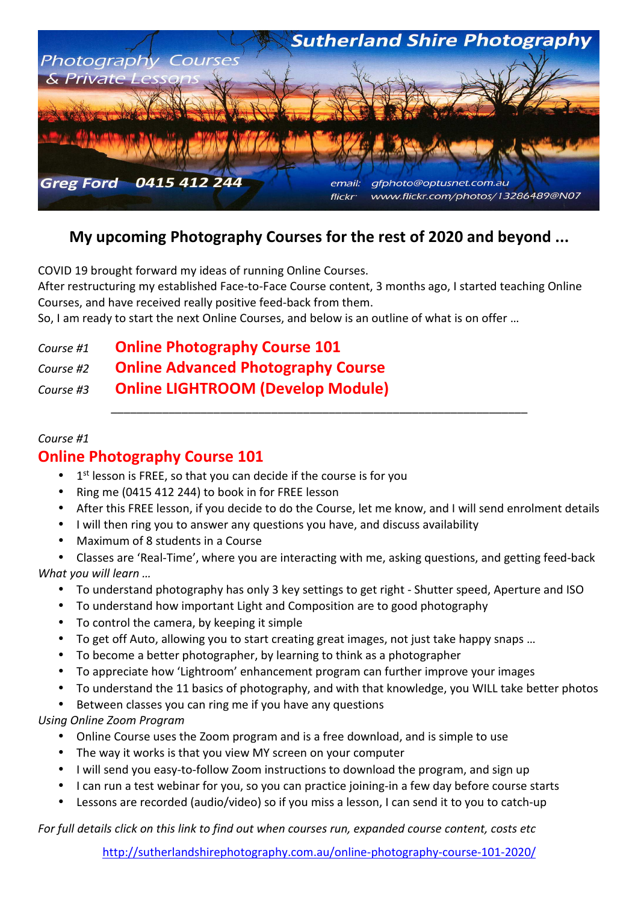

# **My upcoming Photography Courses for the rest of 2020 and beyond ...**

COVID 19 brought forward my ideas of running Online Courses.

After restructuring my established Face-to-Face Course content, 3 months ago, I started teaching Online Courses, and have received really positive feed-back from them.

So, I am ready to start the next Online Courses, and below is an outline of what is on offer …

*Course #1* **Online Photography Course 101**

*Course #2* **Online Advanced Photography Course** 

*Course #3* **Online LIGHTROOM (Develop Module)** 

#### *Course #1*

### **Online Photography Course 101**

- $\bullet$  1<sup>st</sup> lesson is FREE, so that you can decide if the course is for you
- Ring me (0415 412 244) to book in for FREE lesson
- After this FREE lesson, if you decide to do the Course, let me know, and I will send enrolment details

\_\_\_\_\_\_\_\_\_\_\_\_\_\_\_\_\_\_\_\_\_\_\_\_\_\_\_\_\_\_\_\_\_\_\_\_\_\_\_\_\_\_\_\_\_\_\_\_\_\_\_\_\_\_\_\_\_\_\_\_\_\_\_\_\_

- I will then ring you to answer any questions you have, and discuss availability
- Maximum of 8 students in a Course

• Classes are 'Real-Time', where you are interacting with me, asking questions, and getting feed-back *What you will learn …* 

- To understand photography has only 3 key settings to get right Shutter speed, Aperture and ISO
- To understand how important Light and Composition are to good photography
- To control the camera, by keeping it simple
- To get off Auto, allowing you to start creating great images, not just take happy snaps …
- To become a better photographer, by learning to think as a photographer
- To appreciate how 'Lightroom' enhancement program can further improve your images
- To understand the 11 basics of photography, and with that knowledge, you WILL take better photos
- Between classes you can ring me if you have any questions

*Using Online Zoom Program*

- Online Course uses the Zoom program and is a free download, and is simple to use
- The way it works is that you view MY screen on your computer
- I will send you easy-to-follow Zoom instructions to download the program, and sign up
- I can run a test webinar for you, so you can practice joining-in a few day before course starts
- Lessons are recorded (audio/video) so if you miss a lesson, I can send it to you to catch-up

*For full details click on this link to find out when courses run, expanded course content, costs etc* 

http://sutherlandshirephotography.com.au/online-photography-course-101-2020/